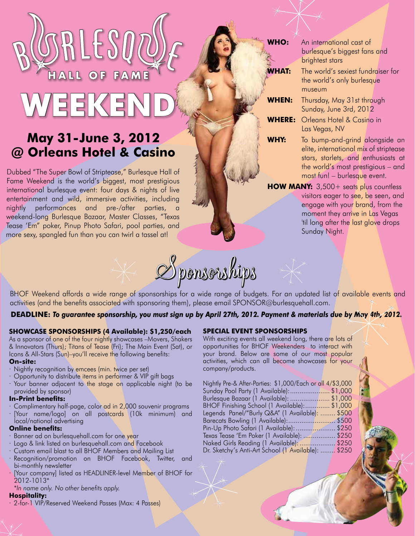# $\overline{O}$ FAME

## May 31-June 3, 2012 @ Orleans Hotel & Casino

Dubbed "The Super Bowl of Striptease," Burlesque Hall of Fame Weekend is the world's biggest, most prestigious international burlesque event: four days & nights of live entertainment and wild, immersive activities, including nightly performances and pre-/after parties, weekend-long Burlesque Bazaar, Master Classes, "Texas Tease 'Em" poker, Pinup Photo Safari, pool parties, and more sexy, spangled fun than you can twirl a tassel at!

An international cast of VHO: burlesque's biggest fans and brightest stars **/HAT:** The world's sexiest fundraiser for the world's only burlesque museum WHEN: Thursday, May 31st through Sunday, June 3rd, 2012 **WHERE:** Orleans Hotel & Casino in Las Vegas, NV WHY: To bump-and-grind alongside an elite, international mix of striptease stars, starlets, and enthusiasts at the world's most prestigious - and most fun! - burlesque event. HOW MANY: 3,500+ seats plus countless visitors eager to see, be seen, and engage with your brand, from the moment they arrive in Las Vegas 'til long after the last glove drops

Sunday Night.



BHOF Weekend affords a wide range of sponsorships for a wide range of budgets. For an updated list of available events and activities (and the benefits associated with sponsoring them), please email SPONSOR@burlesquehall.com.

#### DEADLINE: To guarantee sponsorship, you must sign up by April 27th, 2012. Payment & materials due by May 4th, 2012.

#### SHOWCASE SPONSORSHIPS (4 Available): \$1,250/each

As a sponsor of one of the four nightly showcases -Movers, Shakers & Innovators (Thurs); Titans of Tease (Fri); The Main Event (Sat), or Icons & All-Stars (Sun)-you'll receive the following benefits:

#### On-site:

- · Nightly recognition by emcees (min. twice per set)
- · Opportunity to distribute items in performer & VIP gift bags
- · Your banner adjacent to the stage on applicable night (to be provided by sponsor)

#### **In-Print benefits:**

Complimentary half-page, color ad in 2,000 souvenir programs [Your name/logo] on all postcards (10k minimum) and local/national advertising

#### **Online benefits:**

- Banner ad on burlesquehall.com for one year
- Logo & link listed on burlesquehall.com and Facebook
- · Custom email blast to all BHOF Members and Mailing List
- · Recognition/promotion on BHOF Facebook, Twitter, and bi-monthly newsletter
- [Your company] listed as HEADLINER-level Member of BHOF for 2012-1013\*

\*In name only. No other benefits apply.

### **Hospitality:**

· 2-for-1 VIP/Reserved Weekend Passes (Max: 4 Passes)

#### **SPECIAL EVENT SPONSORSHIPS**

With exciting events all weekend long, there are lots of opportunities for BHOF Weekenders to interact with your brand. Below are some of our most popular activities, which can all become showcases for your company/products.

| Nightly Pre-& After-Parties: \$1,000/Each or all 4/\$3,000 |  |
|------------------------------------------------------------|--|
| Sunday Pool Party (1 Available):\$1,000                    |  |
| Burlesque Bazaar (1 Available): \$1,000                    |  |
| BHOF Finishing School (1 Available): \$1,000               |  |
| Legends Panel/"Burly Q&A" (1 Available):  \$500            |  |
|                                                            |  |
| Pin-Up Photo Safari (1 Available):  \$250                  |  |
| Texas Tease 'Em Poker (1 Available):  \$250                |  |
| Naked Girls Reading (1 Available): \$250                   |  |
| Dr. Sketchy's Anti-Art School (1 Available):  \$250        |  |